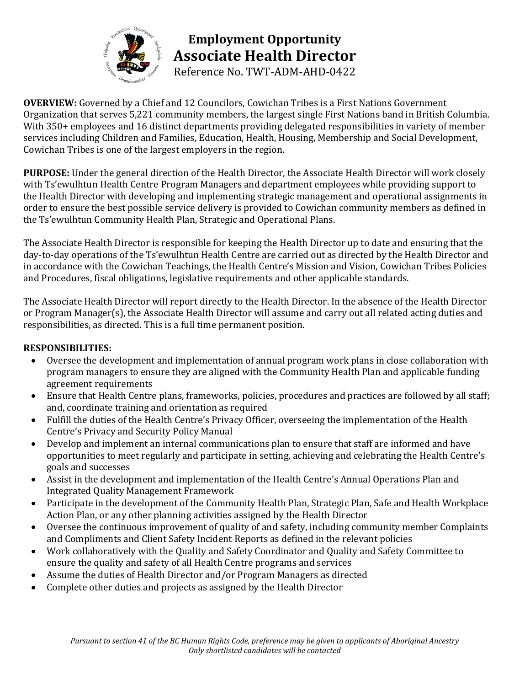

**Employment Opportunity Associate Health Director** Reference No. TWT-ADM-AHD-0422

**OVERVIEW:** Governed by a Chief and 12 Councilors, Cowichan Tribes is a First Nations Government Organization that serves 5,221 community members, the largest single First Nations band in British Columbia. With 350+ employees and 16 distinct departments providing delegated responsibilities in variety of member services including Children and Families, Education, Health, Housing, Membership and Social Development, Cowichan Tribes is one of the largest employers in the region.

**PURPOSE:** Under the general direction of the Health Director, the Associate Health Director will work closely with Ts'ewulhtun Health Centre Program Managers and department employees while providing support to the Health Director with developing and implementing strategic management and operational assignments in order to ensure the best possible service delivery is provided to Cowichan community members as defined in the Ts'ewulhtun Community Health Plan, Strategic and Operational Plans.

The Associate Health Director is responsible for keeping the Health Director up to date and ensuring that the day-to-day operations of the Ts'ewulhtun Health Centre are carried out as directed by the Health Director and in accordance with the Cowichan Teachings, the Health Centre's Mission and Vision, Cowichan Tribes Policies and Procedures, fiscal obligations, legislative requirements and other applicable standards.

The Associate Health Director will report directly to the Health Director. In the absence of the Health Director or Program Manager(s), the Associate Health Director will assume and carry out all related acting duties and responsibilities, as directed. This is a full time permanent position.

## **RESPONSIBILITIES:**

- Oversee the development and implementation of annual program work plans in close collaboration with program managers to ensure they are aligned with the Community Health Plan and applicable funding agreement requirements
- Ensure that Health Centre plans, frameworks, policies, procedures and practices are followed by all staff; and, coordinate training and orientation as required
- Fulfill the duties of the Health Centre's Privacy Officer, overseeing the implementation of the Health Centre's Privacy and Security Policy Manual
- Develop and implement an internal communications plan to ensure that staff are informed and have opportunities to meet regularly and participate in setting, achieving and celebrating the Health Centre's goals and successes
- Assist in the development and implementation of the Health Centre's Annual Operations Plan and Integrated Quality Management Framework
- Participate in the development of the Community Health Plan, Strategic Plan, Safe and Health Workplace Action Plan, or any other planning activities assigned by the Health Director
- Oversee the continuous improvement of quality of and safety, including community member Complaints and Compliments and Client Safety Incident Reports as defined in the relevant policies
- Work collaboratively with the Quality and Safety Coordinator and Quality and Safety Committee to ensure the quality and safety of all Health Centre programs and services
- Assume the duties of Health Director and/or Program Managers as directed
- Complete other duties and projects as assigned by the Health Director